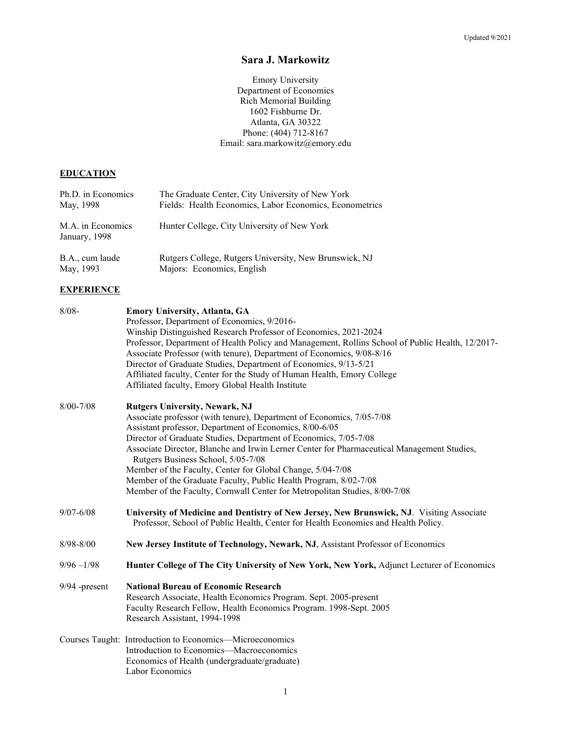# **Sara J. Markowitz**

Emory University Department of Economics Rich Memorial Building 1602 Fishburne Dr. Atlanta, GA 30322 Phone: (404) 712-8167 Email: sara.markowitz@emory.edu

# **EDUCATION**

| Ph.D. in Economics                 | The Graduate Center, City University of New York        |
|------------------------------------|---------------------------------------------------------|
| May, 1998                          | Fields: Health Economics, Labor Economics, Econometrics |
| M.A. in Economics<br>January, 1998 | Hunter College, City University of New York             |
| B.A., cum laude                    | Rutgers College, Rutgers University, New Brunswick, NJ  |
| May, 1993                          | Majors: Economics, English                              |

# **EXPERIENCE**

| $8/08 -$        | <b>Emory University, Atlanta, GA</b><br>Professor, Department of Economics, 9/2016-<br>Winship Distinguished Research Professor of Economics, 2021-2024<br>Professor, Department of Health Policy and Management, Rollins School of Public Health, 12/2017-<br>Associate Professor (with tenure), Department of Economics, 9/08-8/16<br>Director of Graduate Studies, Department of Economics, 9/13-5/21<br>Affiliated faculty, Center for the Study of Human Health, Emory College<br>Affiliated faculty, Emory Global Health Institute                                                          |
|-----------------|---------------------------------------------------------------------------------------------------------------------------------------------------------------------------------------------------------------------------------------------------------------------------------------------------------------------------------------------------------------------------------------------------------------------------------------------------------------------------------------------------------------------------------------------------------------------------------------------------|
| $8/00 - 7/08$   | <b>Rutgers University, Newark, NJ</b><br>Associate professor (with tenure), Department of Economics, 7/05-7/08<br>Assistant professor, Department of Economics, 8/00-6/05<br>Director of Graduate Studies, Department of Economics, 7/05-7/08<br>Associate Director, Blanche and Irwin Lerner Center for Pharmaceutical Management Studies,<br>Rutgers Business School, 5/05-7/08<br>Member of the Faculty, Center for Global Change, 5/04-7/08<br>Member of the Graduate Faculty, Public Health Program, 8/02-7/08<br>Member of the Faculty, Cornwall Center for Metropolitan Studies, 8/00-7/08 |
| $9/07 - 6/08$   | University of Medicine and Dentistry of New Jersey, New Brunswick, NJ. Visiting Associate<br>Professor, School of Public Health, Center for Health Economics and Health Policy.                                                                                                                                                                                                                                                                                                                                                                                                                   |
| $8/98 - 8/00$   | New Jersey Institute of Technology, Newark, NJ, Assistant Professor of Economics                                                                                                                                                                                                                                                                                                                                                                                                                                                                                                                  |
| $9/96 - 1/98$   | Hunter College of The City University of New York, New York, Adjunct Lecturer of Economics                                                                                                                                                                                                                                                                                                                                                                                                                                                                                                        |
| $9/94$ -present | <b>National Bureau of Economic Research</b><br>Research Associate, Health Economics Program. Sept. 2005-present<br>Faculty Research Fellow, Health Economics Program. 1998-Sept. 2005<br>Research Assistant, 1994-1998                                                                                                                                                                                                                                                                                                                                                                            |
|                 | Courses Taught: Introduction to Economics—Microeconomics<br>Introduction to Economics-Macroeconomics<br>Economics of Health (undergraduate/graduate)<br>Labor Economics                                                                                                                                                                                                                                                                                                                                                                                                                           |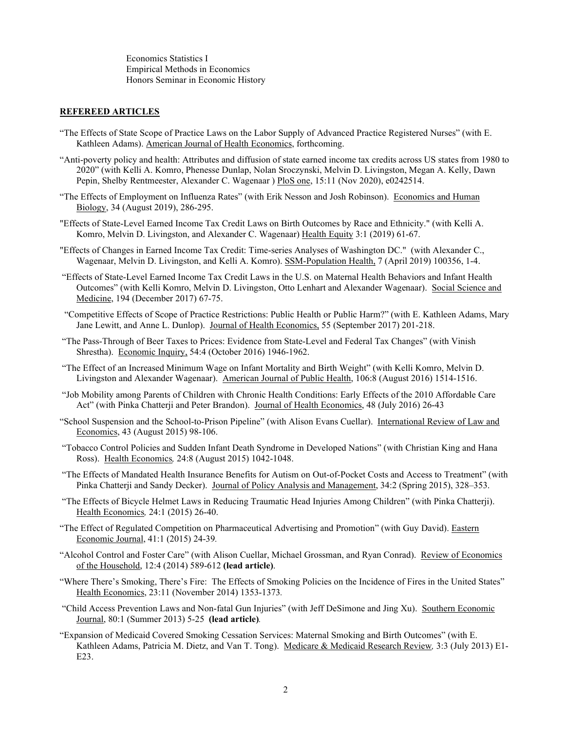Economics Statistics I Empirical Methods in Economics Honors Seminar in Economic History

#### **REFEREED ARTICLES**

- "The Effects of State Scope of Practice Laws on the Labor Supply of Advanced Practice Registered Nurses" (with E. Kathleen Adams). American Journal of Health Economics, forthcoming.
- "Anti-poverty policy and health: Attributes and diffusion of state earned income tax credits across US states from 1980 to 2020" (with Kelli A. Komro, Phenesse Dunlap, Nolan Sroczynski, Melvin D. Livingston, Megan A. Kelly, Dawn Pepin, Shelby Rentmeester, Alexander C. Wagenaar ) PloS one, 15:11 (Nov 2020), e0242514.
- "The Effects of Employment on Influenza Rates" (with Erik Nesson and Josh Robinson). Economics and Human Biology, 34 (August 2019), 286-295.
- "Effects of State-Level Earned Income Tax Credit Laws on Birth Outcomes by Race and Ethnicity." (with Kelli A. Komro, Melvin D. Livingston, and Alexander C. Wagenaar) Health Equity 3:1 (2019) 61-67.
- "Effects of Changes in Earned Income Tax Credit: Time-series Analyses of Washington DC." (with Alexander C., Wagenaar, Melvin D. Livingston, and Kelli A. Komro). SSM-Population Health, 7 (April 2019) 100356, 1-4.
- "Effects of State-Level Earned Income Tax Credit Laws in the U.S. on Maternal Health Behaviors and Infant Health Outcomes" (with Kelli Komro, Melvin D. Livingston, Otto Lenhart and Alexander Wagenaar). Social Science and Medicine, 194 (December 2017) 67-75.
- "Competitive Effects of Scope of Practice Restrictions: Public Health or Public Harm?" (with E. Kathleen Adams, Mary Jane Lewitt, and Anne L. Dunlop). Journal of Health Economics, 55 (September 2017) 201-218.
- "The Pass-Through of Beer Taxes to Prices: Evidence from State-Level and Federal Tax Changes" (with Vinish Shrestha). Economic Inquiry, 54:4 (October 2016) 1946-1962.
- "The Effect of an Increased Minimum Wage on Infant Mortality and Birth Weight" (with Kelli Komro, Melvin D. Livingston and Alexander Wagenaar). American Journal of Public Health, 106:8 (August 2016) 1514-1516.
- "Job Mobility among Parents of Children with Chronic Health Conditions: Early Effects of the 2010 Affordable Care Act" (with Pinka Chatterji and Peter Brandon). Journal of Health Economics, 48 (July 2016) 26-43
- "School Suspension and the School-to-Prison Pipeline" (with Alison Evans Cuellar). International Review of Law and Economics, 43 (August 2015) 98-106.
- "Tobacco Control Policies and Sudden Infant Death Syndrome in Developed Nations" (with Christian King and Hana Ross). Health Economics*,* 24:8 (August 2015) 1042-1048.
- "The Effects of Mandated Health Insurance Benefits for Autism on Out-of-Pocket Costs and Access to Treatment" (with Pinka Chatterji and Sandy Decker). Journal of Policy Analysis and Management, 34:2 (Spring 2015), 328–353.
- "The Effects of Bicycle Helmet Laws in Reducing Traumatic Head Injuries Among Children" (with Pinka Chatterji). Health Economics*,* 24:1 (2015) 26-40.
- "The Effect of Regulated Competition on Pharmaceutical Advertising and Promotion" (with Guy David). Eastern Economic Journal, 41:1 (2015) 24-39*.*
- "Alcohol Control and Foster Care" (with Alison Cuellar, Michael Grossman, and Ryan Conrad). Review of Economics of the Household, 12:4 (2014) 589-612 **(lead article)**.
- "Where There's Smoking, There's Fire: The Effects of Smoking Policies on the Incidence of Fires in the United States" Health Economics, 23:11 (November 2014) 1353-1373*.*
- "Child Access Prevention Laws and Non-fatal Gun Injuries" (with Jeff DeSimone and Jing Xu). Southern Economic Journal, 80:1 (Summer 2013) 5-25 **(lead article)***.*
- "Expansion of Medicaid Covered Smoking Cessation Services: Maternal Smoking and Birth Outcomes" (with E. Kathleen Adams, Patricia M. Dietz, and Van T. Tong). Medicare & Medicaid Research Review*,* 3:3 (July 2013) E1- E23.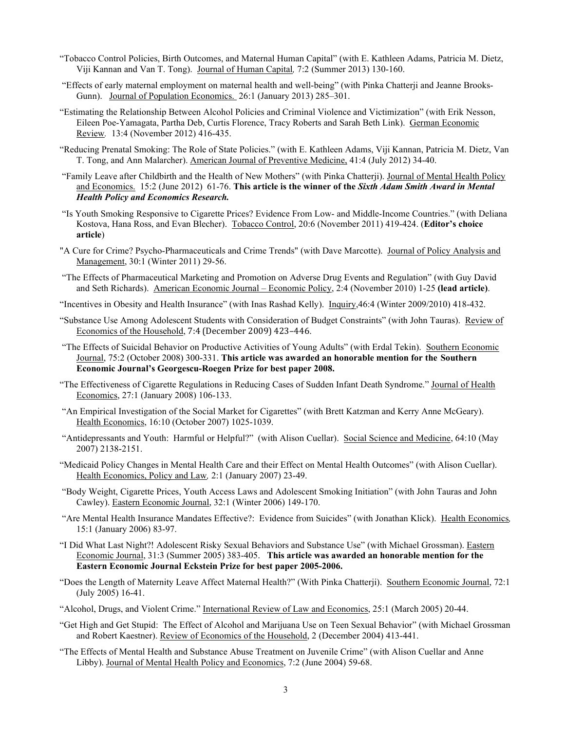- "Tobacco Control Policies, Birth Outcomes, and Maternal Human Capital" (with E. Kathleen Adams, Patricia M. Dietz, Viji Kannan and Van T. Tong). Journal of Human Capital*,* 7:2 (Summer 2013) 130-160.
- "Effects of early maternal employment on maternal health and well-being" (with Pinka Chatterji and Jeanne Brooks-Gunn). Journal of Population Economics. 26:1 (January 2013) 285–301.
- "Estimating the Relationship Between Alcohol Policies and Criminal Violence and Victimization" (with Erik Nesson, Eileen Poe-Yamagata, Partha Deb, Curtis Florence, Tracy Roberts and Sarah Beth Link). German Economic Review*.* 13:4 (November 2012) 416-435.
- "Reducing Prenatal Smoking: The Role of State Policies." (with E. Kathleen Adams, Viji Kannan, Patricia M. Dietz, Van T. Tong, and Ann Malarcher). American Journal of Preventive Medicine, 41:4 (July 2012) 34-40.
- "Family Leave after Childbirth and the Health of New Mothers" (with Pinka Chatterji). Journal of Mental Health Policy and Economics. 15:2 (June 2012) 61-76. **This article is the winner of the** *Sixth Adam Smith Award in Mental Health Policy and Economics Research.*
- "Is Youth Smoking Responsive to Cigarette Prices? Evidence From Low- and Middle-Income Countries." (with Deliana Kostova, Hana Ross, and Evan Blecher). Tobacco Control, 20:6 (November 2011) 419-424. (**Editor's choice article**)
- "A Cure for Crime? Psycho-Pharmaceuticals and Crime Trends" (with Dave Marcotte). Journal of Policy Analysis and Management, 30:1 (Winter 2011) 29-56.
- "The Effects of Pharmaceutical Marketing and Promotion on Adverse Drug Events and Regulation" (with Guy David and Seth Richards). American Economic Journal – Economic Policy, 2:4 (November 2010) 1-25 **(lead article)**.
- "Incentives in Obesity and Health Insurance" (with Inas Rashad Kelly). Inquiry,46:4 (Winter 2009/2010) 418-432.
- "Substance Use Among Adolescent Students with Consideration of Budget Constraints" (with John Tauras). Review of Economics of the Household, 7:4 (December 2009) 423–446.
- "The Effects of Suicidal Behavior on Productive Activities of Young Adults" (with Erdal Tekin). Southern Economic Journal, 75:2 (October 2008) 300-331. **This article was awarded an honorable mention for the Southern Economic Journal's Georgescu-Roegen Prize for best paper 2008.**
- "The Effectiveness of Cigarette Regulations in Reducing Cases of Sudden Infant Death Syndrome." Journal of Health Economics, 27:1 (January 2008) 106-133.
- "An Empirical Investigation of the Social Market for Cigarettes" (with Brett Katzman and Kerry Anne McGeary). Health Economics, 16:10 (October 2007) 1025-1039.
- "Antidepressants and Youth: Harmful or Helpful?" (with Alison Cuellar). Social Science and Medicine, 64:10 (May 2007) 2138-2151.
- "Medicaid Policy Changes in Mental Health Care and their Effect on Mental Health Outcomes" (with Alison Cuellar). Health Economics, Policy and Law*,* 2:1 (January 2007) 23-49.
- "Body Weight, Cigarette Prices, Youth Access Laws and Adolescent Smoking Initiation" (with John Tauras and John Cawley). Eastern Economic Journal, 32:1 (Winter 2006) 149-170.
- "Are Mental Health Insurance Mandates Effective?: Evidence from Suicides" (with Jonathan Klick). Health Economics*,* 15:1 (January 2006) 83-97.
- "I Did What Last Night?! Adolescent Risky Sexual Behaviors and Substance Use" (with Michael Grossman). Eastern Economic Journal, 31:3 (Summer 2005) 383-405. **This article was awarded an honorable mention for the Eastern Economic Journal Eckstein Prize for best paper 2005-2006.**
- "Does the Length of Maternity Leave Affect Maternal Health?" (With Pinka Chatterji). Southern Economic Journal, 72:1 (July 2005) 16-41.
- "Alcohol, Drugs, and Violent Crime." International Review of Law and Economics, 25:1 (March 2005) 20-44.
- "Get High and Get Stupid: The Effect of Alcohol and Marijuana Use on Teen Sexual Behavior" (with Michael Grossman and Robert Kaestner). Review of Economics of the Household, 2 (December 2004) 413-441.
- "The Effects of Mental Health and Substance Abuse Treatment on Juvenile Crime" (with Alison Cuellar and Anne Libby). Journal of Mental Health Policy and Economics, 7:2 (June 2004) 59-68.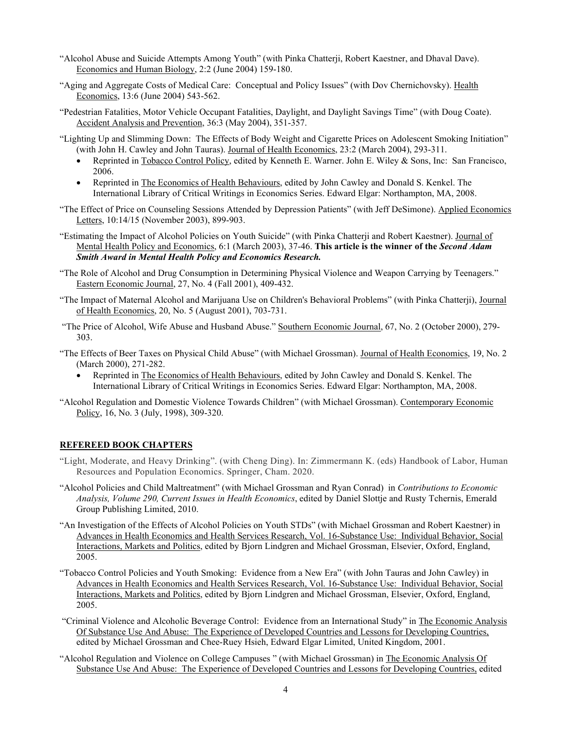- "Alcohol Abuse and Suicide Attempts Among Youth" (with Pinka Chatterji, Robert Kaestner, and Dhaval Dave). Economics and Human Biology, 2:2 (June 2004) 159-180.
- "Aging and Aggregate Costs of Medical Care: Conceptual and Policy Issues" (with Dov Chernichovsky). Health Economics, 13:6 (June 2004) 543-562.
- "Pedestrian Fatalities, Motor Vehicle Occupant Fatalities, Daylight, and Daylight Savings Time" (with Doug Coate). Accident Analysis and Prevention, 36:3 (May 2004), 351-357.
- "Lighting Up and Slimming Down: The Effects of Body Weight and Cigarette Prices on Adolescent Smoking Initiation" (with John H. Cawley and John Tauras). Journal of Health Economics, 23:2 (March 2004), 293-311.
	- Reprinted in Tobacco Control Policy, edited by Kenneth E. Warner. John E. Wiley & Sons, Inc: San Francisco, 2006.
	- Reprinted in The Economics of Health Behaviours, edited by John Cawley and Donald S. Kenkel. The International Library of Critical Writings in Economics Series. Edward Elgar: Northampton, MA, 2008.
- "The Effect of Price on Counseling Sessions Attended by Depression Patients" (with Jeff DeSimone). Applied Economics Letters, 10:14/15 (November 2003), 899-903.
- "Estimating the Impact of Alcohol Policies on Youth Suicide" (with Pinka Chatterji and Robert Kaestner). Journal of Mental Health Policy and Economics, 6:1 (March 2003), 37-46. **This article is the winner of the** *Second Adam Smith Award in Mental Health Policy and Economics Research.*
- "The Role of Alcohol and Drug Consumption in Determining Physical Violence and Weapon Carrying by Teenagers." Eastern Economic Journal, 27, No. 4 (Fall 2001), 409-432.
- "The Impact of Maternal Alcohol and Marijuana Use on Children's Behavioral Problems" (with Pinka Chatterji), Journal of Health Economics, 20, No. 5 (August 2001), 703-731.
- "The Price of Alcohol, Wife Abuse and Husband Abuse." Southern Economic Journal, 67, No. 2 (October 2000), 279- 303.
- "The Effects of Beer Taxes on Physical Child Abuse" (with Michael Grossman). Journal of Health Economics, 19, No. 2 (March 2000), 271-282.
	- Reprinted in The Economics of Health Behaviours, edited by John Cawley and Donald S. Kenkel. The International Library of Critical Writings in Economics Series. Edward Elgar: Northampton, MA, 2008.
- "Alcohol Regulation and Domestic Violence Towards Children" (with Michael Grossman). Contemporary Economic Policy, 16, No. 3 (July, 1998), 309-320.

# **REFEREED BOOK CHAPTERS**

- "Light, Moderate, and Heavy Drinking". (with Cheng Ding). In: Zimmermann K. (eds) Handbook of Labor, Human Resources and Population Economics. Springer, Cham. 2020.
- "Alcohol Policies and Child Maltreatment" (with Michael Grossman and Ryan Conrad) in *Contributions to Economic Analysis, Volume 290, Current Issues in Health Economics*, edited by Daniel Slottje and Rusty Tchernis, Emerald Group Publishing Limited, 2010.
- "An Investigation of the Effects of Alcohol Policies on Youth STDs" (with Michael Grossman and Robert Kaestner) in Advances in Health Economics and Health Services Research, Vol. 16-Substance Use: Individual Behavior, Social Interactions, Markets and Politics, edited by Bjorn Lindgren and Michael Grossman, Elsevier, Oxford, England, 2005.
- "Tobacco Control Policies and Youth Smoking: Evidence from a New Era" (with John Tauras and John Cawley) in Advances in Health Economics and Health Services Research, Vol. 16-Substance Use: Individual Behavior, Social Interactions, Markets and Politics, edited by Bjorn Lindgren and Michael Grossman, Elsevier, Oxford, England, 2005.
- "Criminal Violence and Alcoholic Beverage Control: Evidence from an International Study" in The Economic Analysis Of Substance Use And Abuse: The Experience of Developed Countries and Lessons for Developing Countries, edited by Michael Grossman and Chee-Ruey Hsieh, Edward Elgar Limited, United Kingdom, 2001.
- "Alcohol Regulation and Violence on College Campuses " (with Michael Grossman) in The Economic Analysis Of Substance Use And Abuse: The Experience of Developed Countries and Lessons for Developing Countries, edited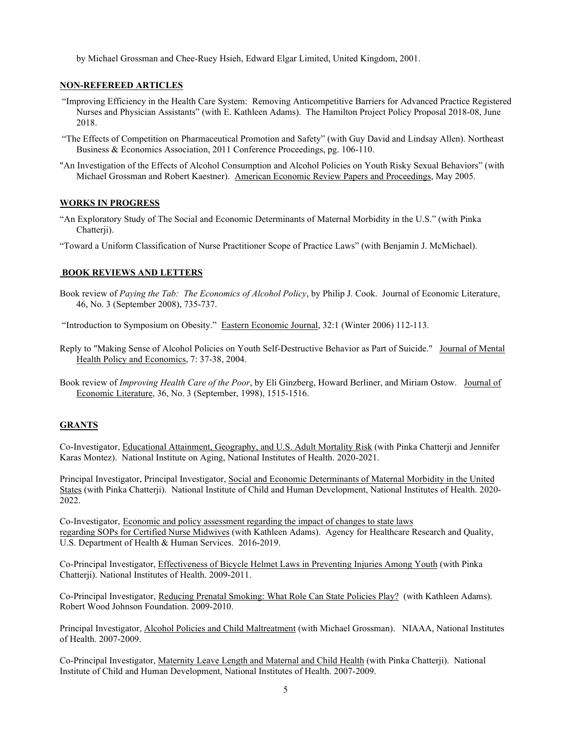by Michael Grossman and Chee-Ruey Hsieh, Edward Elgar Limited, United Kingdom, 2001.

# **NON-REFEREED ARTICLES**

- "Improving Efficiency in the Health Care System: Removing Anticompetitive Barriers for Advanced Practice Registered Nurses and Physician Assistants" (with E. Kathleen Adams). The Hamilton Project Policy Proposal 2018-08, June 2018.
- "The Effects of Competition on Pharmaceutical Promotion and Safety" (with Guy David and Lindsay Allen). Northeast Business & Economics Association, 2011 Conference Proceedings, pg. 106-110.
- "An Investigation of the Effects of Alcohol Consumption and Alcohol Policies on Youth Risky Sexual Behaviors" (with Michael Grossman and Robert Kaestner). American Economic Review Papers and Proceedings, May 2005.

# **WORKS IN PROGRESS**

"An Exploratory Study of The Social and Economic Determinants of Maternal Morbidity in the U.S." (with Pinka Chatterji).

["Toward a Uniform Classification of Nurse Practitioner Scope of Practice Laws"](https://www.nber.org/papers/w28192) (with Benjamin J. McMichael).

# **BOOK REVIEWS AND LETTERS**

Book review of *Paying the Tab: The Economics of Alcohol Policy*, by Philip J. Cook. Journal of Economic Literature, 46, No. 3 (September 2008), 735-737.

"Introduction to Symposium on Obesity." Eastern Economic Journal, 32:1 (Winter 2006) 112-113.

- Reply to "Making Sense of Alcohol Policies on Youth Self-Destructive Behavior as Part of Suicide." Journal of Mental Health Policy and Economics, 7: 37-38, 2004.
- Book review of *Improving Health Care of the Poor*, by Eli Ginzberg, Howard Berliner, and Miriam Ostow. Journal of Economic Literature, 36, No. 3 (September, 1998), 1515-1516.

# **GRANTS**

Co-Investigator, Educational Attainment, Geography, and U.S. Adult Mortality Risk (with Pinka Chatterji and Jennifer Karas Montez). National Institute on Aging, National Institutes of Health. 2020-2021.

Principal Investigator, Principal Investigator, Social and Economic Determinants of Maternal Morbidity in the United States (with Pinka Chatterji). National Institute of Child and Human Development, National Institutes of Health. 2020- 2022.

Co-Investigator, Economic and policy assessment regarding the impact of changes to state laws regarding SOPs for Certified Nurse Midwives (with Kathleen Adams). Agency for Healthcare Research and Quality, U.S. Department of Health & Human Services. 2016-2019.

Co-Principal Investigator, Effectiveness of Bicycle Helmet Laws in Preventing Injuries Among Youth (with Pinka Chatterji). National Institutes of Health. 2009-2011.

Co-Principal Investigator, Reducing Prenatal Smoking: What Role Can State Policies Play? (with Kathleen Adams). Robert Wood Johnson Foundation. 2009-2010.

Principal Investigator, Alcohol Policies and Child Maltreatment (with Michael Grossman). NIAAA, National Institutes of Health. 2007-2009.

Co-Principal Investigator, Maternity Leave Length and Maternal and Child Health (with Pinka Chatterji). National Institute of Child and Human Development, National Institutes of Health. 2007-2009.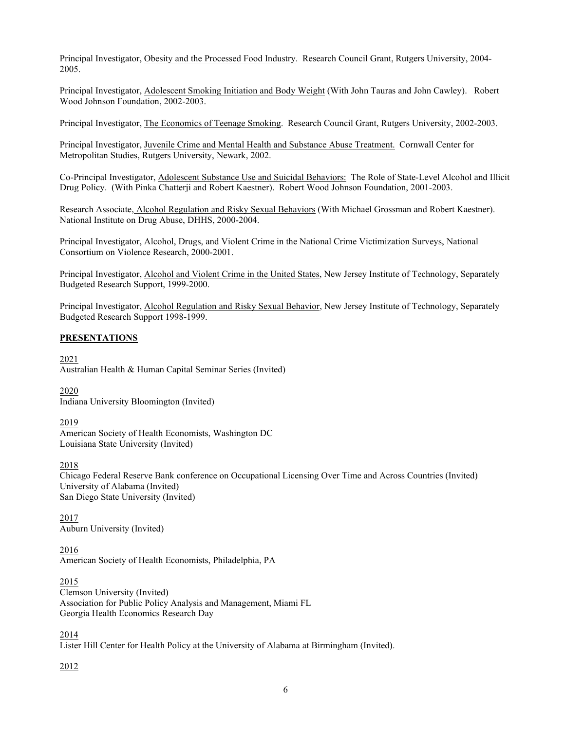Principal Investigator, Obesity and the Processed Food Industry. Research Council Grant, Rutgers University, 2004- 2005.

Principal Investigator, Adolescent Smoking Initiation and Body Weight (With John Tauras and John Cawley). Robert Wood Johnson Foundation, 2002-2003.

Principal Investigator, The Economics of Teenage Smoking. Research Council Grant, Rutgers University, 2002-2003.

Principal Investigator, Juvenile Crime and Mental Health and Substance Abuse Treatment. Cornwall Center for Metropolitan Studies, Rutgers University, Newark, 2002.

Co-Principal Investigator, Adolescent Substance Use and Suicidal Behaviors: The Role of State-Level Alcohol and Illicit Drug Policy. (With Pinka Chatterji and Robert Kaestner). Robert Wood Johnson Foundation, 2001-2003.

Research Associate, Alcohol Regulation and Risky Sexual Behaviors (With Michael Grossman and Robert Kaestner). National Institute on Drug Abuse, DHHS, 2000-2004.

Principal Investigator, Alcohol, Drugs, and Violent Crime in the National Crime Victimization Surveys, National Consortium on Violence Research, 2000-2001.

Principal Investigator, Alcohol and Violent Crime in the United States, New Jersey Institute of Technology, Separately Budgeted Research Support, 1999-2000.

Principal Investigator, Alcohol Regulation and Risky Sexual Behavior, New Jersey Institute of Technology, Separately Budgeted Research Support 1998-1999.

#### **PRESENTATIONS**

2021 Australian Health & Human Capital Seminar Series (Invited)

2020

Indiana University Bloomington (Invited)

#### 2019

American Society of Health Economists, Washington DC Louisiana State University (Invited)

#### 2018

Chicago Federal Reserve Bank conference on Occupational Licensing Over Time and Across Countries (Invited) University of Alabama (Invited) San Diego State University (Invited)

2017 Auburn University (Invited)

2016 American Society of Health Economists, Philadelphia, PA

#### 2015

Clemson University (Invited) Association for Public Policy Analysis and Management, Miami FL Georgia Health Economics Research Day

# 2014

Lister Hill Center for Health Policy at the University of Alabama at Birmingham (Invited).

2012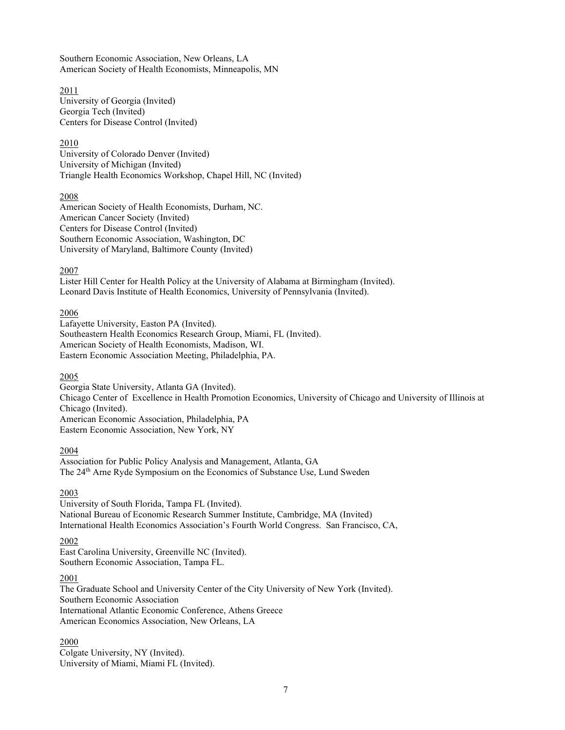Southern Economic Association, New Orleans, LA American Society of Health Economists, Minneapolis, MN

2011 University of Georgia (Invited) Georgia Tech (Invited) Centers for Disease Control (Invited)

# 2010

University of Colorado Denver (Invited) University of Michigan (Invited) Triangle Health Economics Workshop, Chapel Hill, NC (Invited)

# 2008

American Society of Health Economists, Durham, NC. American Cancer Society (Invited) Centers for Disease Control (Invited) Southern Economic Association, Washington, DC University of Maryland, Baltimore County (Invited)

# 2007

Lister Hill Center for Health Policy at the University of Alabama at Birmingham (Invited). Leonard Davis Institute of Health Economics, University of Pennsylvania (Invited).

# 2006

Lafayette University, Easton PA (Invited). Southeastern Health Economics Research Group, Miami, FL (Invited). American Society of Health Economists, Madison, WI. Eastern Economic Association Meeting, Philadelphia, PA.

# 2005

Georgia State University, Atlanta GA (Invited). Chicago Center of Excellence in Health Promotion Economics, University of Chicago and University of Illinois at Chicago (Invited). American Economic Association, Philadelphia, PA Eastern Economic Association, New York, NY

# 2004

Association for Public Policy Analysis and Management, Atlanta, GA The 24<sup>th</sup> Arne Ryde Symposium on the Economics of Substance Use, Lund Sweden

# 2003

University of South Florida, Tampa FL (Invited). National Bureau of Economic Research Summer Institute, Cambridge, MA (Invited) International Health Economics Association's Fourth World Congress. San Francisco, CA,

# 2002

East Carolina University, Greenville NC (Invited). Southern Economic Association, Tampa FL.

# 2001

The Graduate School and University Center of the City University of New York (Invited). Southern Economic Association International Atlantic Economic Conference, Athens Greece American Economics Association, New Orleans, LA

# 2000

Colgate University, NY (Invited). University of Miami, Miami FL (Invited).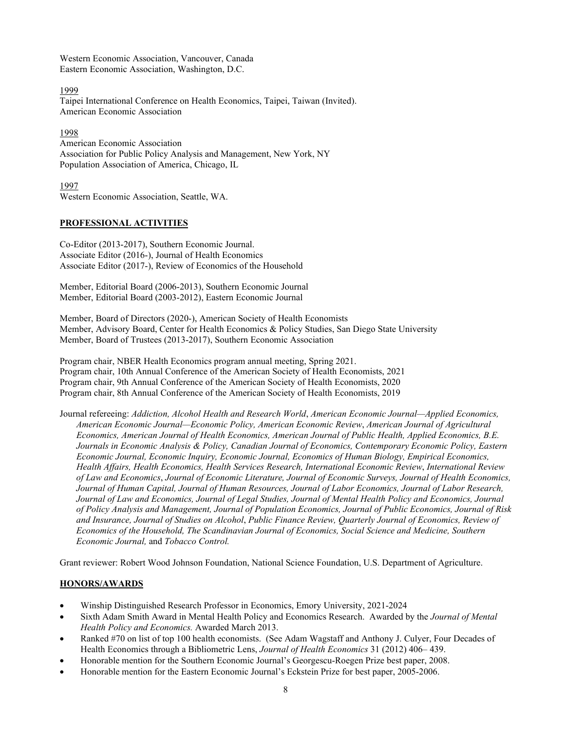Western Economic Association, Vancouver, Canada Eastern Economic Association, Washington, D.C.

1999

Taipei International Conference on Health Economics, Taipei, Taiwan (Invited). American Economic Association

1998 American Economic Association Association for Public Policy Analysis and Management, New York, NY Population Association of America, Chicago, IL

1997 Western Economic Association, Seattle, WA.

# **PROFESSIONAL ACTIVITIES**

Co-Editor (2013-2017), Southern Economic Journal. Associate Editor (2016-), Journal of Health Economics Associate Editor (2017-), Review of Economics of the Household

Member, Editorial Board (2006-2013), Southern Economic Journal Member, Editorial Board (2003-2012), Eastern Economic Journal

Member, Board of Directors (2020-), American Society of Health Economists Member, Advisory Board, Center for Health Economics & Policy Studies, San Diego State University Member, Board of Trustees (2013-2017), Southern Economic Association

Program chair, NBER Health Economics program annual meeting, Spring 2021. Program chair, 10th Annual Conference of the American Society of Health Economists, 2021 Program chair, 9th Annual Conference of the American Society of Health Economists, 2020 Program chair, 8th Annual Conference of the American Society of Health Economists, 2019

Journal refereeing: *Addiction, Alcohol Health and Research World*, *American Economic Journal—Applied Economics, American Economic Journal—Economic Policy, American Economic Review*, *American Journal of Agricultural Economics, American Journal of Health Economics, American Journal of Public Health, Applied Economics, B.E. Journals in Economic Analysis & Policy, Canadian Journal of Economics, Contemporary Economic Policy, Eastern Economic Journal, Economic Inquiry, Economic Journal, Economics of Human Biology, Empirical Economics, Health Affairs, Health Economics, Health Services Research, International Economic Review*, *International Review of Law and Economics*, *Journal of Economic Literature, Journal of Economic Surveys, Journal of Health Economics, Journal of Human Capital, Journal of Human Resources, Journal of Labor Economics, Journal of Labor Research, Journal of Law and Economics, Journal of Legal Studies, Journal of Mental Health Policy and Economics, Journal of Policy Analysis and Management, Journal of Population Economics, Journal of Public Economics, Journal of Risk and Insurance, Journal of Studies on Alcohol*, *Public Finance Review, Quarterly Journal of Economics, Review of Economics of the Household, The Scandinavian Journal of Economics, Social Science and Medicine, Southern Economic Journal,* and *Tobacco Control.*

Grant reviewer: Robert Wood Johnson Foundation, National Science Foundation, U.S. Department of Agriculture.

# **HONORS/AWARDS**

- Winship Distinguished Research Professor in Economics, Emory University, 2021-2024
- Sixth Adam Smith Award in Mental Health Policy and Economics Research. Awarded by the *Journal of Mental Health Policy and Economics.* Awarded March 2013.
- Ranked #70 on list of top 100 health economists. (See Adam Wagstaff and Anthony J. Culyer, Four Decades of Health Economics through a Bibliometric Lens, *Journal of Health Economics* 31 (2012) 406– 439.
- Honorable mention for the Southern Economic Journal's Georgescu-Roegen Prize best paper, 2008.
- Honorable mention for the Eastern Economic Journal's Eckstein Prize for best paper, 2005-2006.